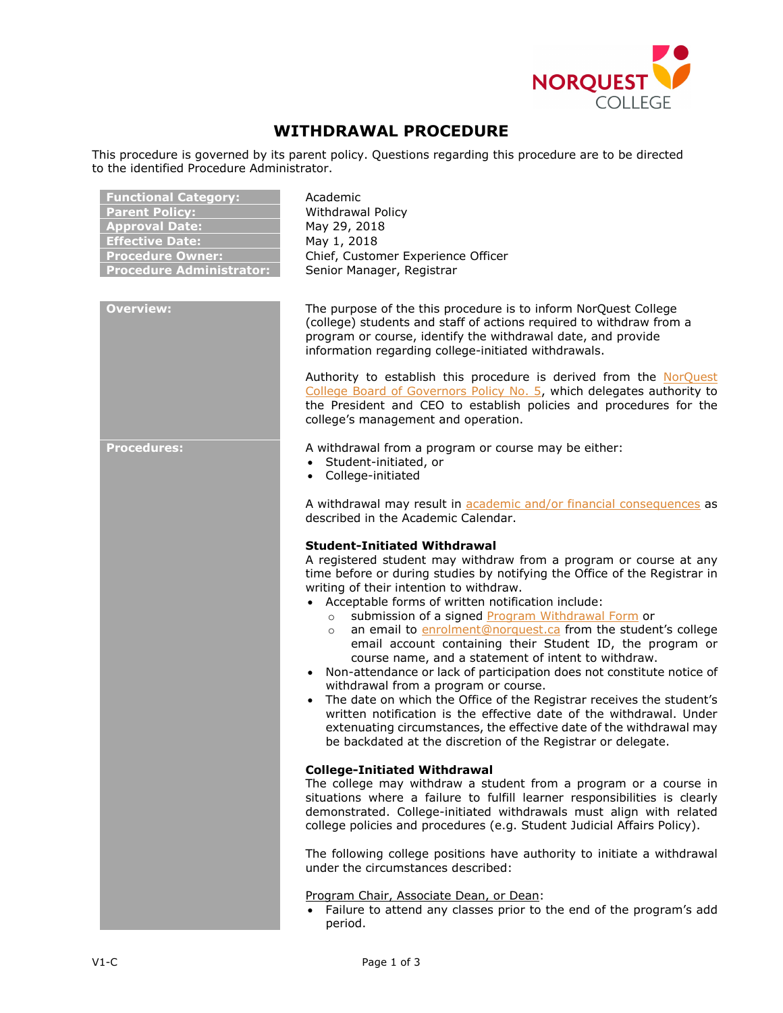

## **WITHDRAWAL PROCEDURE**

This procedure is governed by its parent policy. Questions regarding this procedure are to be directed to the identified Procedure Administrator.

| <b>Functional Category:</b><br><b>Parent Policy:</b><br><b>Approval Date:</b><br><b>Effective Date:</b><br><b>Procedure Owner:</b><br><b>Procedure Administrator:</b> | Academic<br><b>Withdrawal Policy</b><br>May 29, 2018<br>May 1, 2018<br>Chief, Customer Experience Officer<br>Senior Manager, Registrar                                                                                                                                                                                                                                                                                                                                                                                                                                                                                                                                                                                                                                                                                                                                                                                                                                                  |
|-----------------------------------------------------------------------------------------------------------------------------------------------------------------------|-----------------------------------------------------------------------------------------------------------------------------------------------------------------------------------------------------------------------------------------------------------------------------------------------------------------------------------------------------------------------------------------------------------------------------------------------------------------------------------------------------------------------------------------------------------------------------------------------------------------------------------------------------------------------------------------------------------------------------------------------------------------------------------------------------------------------------------------------------------------------------------------------------------------------------------------------------------------------------------------|
| <b>Overview:</b>                                                                                                                                                      | The purpose of the this procedure is to inform NorQuest College<br>(college) students and staff of actions required to withdraw from a<br>program or course, identify the withdrawal date, and provide<br>information regarding college-initiated withdrawals.                                                                                                                                                                                                                                                                                                                                                                                                                                                                                                                                                                                                                                                                                                                          |
|                                                                                                                                                                       | Authority to establish this procedure is derived from the NorQuest<br>College Board of Governors Policy No. 5, which delegates authority to<br>the President and CEO to establish policies and procedures for the<br>college's management and operation.                                                                                                                                                                                                                                                                                                                                                                                                                                                                                                                                                                                                                                                                                                                                |
| <b>Procedures:</b>                                                                                                                                                    | A withdrawal from a program or course may be either:<br>• Student-initiated, or<br>College-initiated<br>$\bullet$                                                                                                                                                                                                                                                                                                                                                                                                                                                                                                                                                                                                                                                                                                                                                                                                                                                                       |
|                                                                                                                                                                       | A withdrawal may result in academic and/or financial consequences as<br>described in the Academic Calendar.                                                                                                                                                                                                                                                                                                                                                                                                                                                                                                                                                                                                                                                                                                                                                                                                                                                                             |
|                                                                                                                                                                       | <b>Student-Initiated Withdrawal</b><br>A registered student may withdraw from a program or course at any<br>time before or during studies by notifying the Office of the Registrar in<br>writing of their intention to withdraw.<br>Acceptable forms of written notification include:<br>$\bullet$<br>submission of a signed Program Withdrawal Form or<br>$\circ$<br>an email to enrolment@norquest.ca from the student's college<br>$\circ$<br>email account containing their Student ID, the program or<br>course name, and a statement of intent to withdraw.<br>• Non-attendance or lack of participation does not constitute notice of<br>withdrawal from a program or course.<br>The date on which the Office of the Registrar receives the student's<br>$\bullet$<br>written notification is the effective date of the withdrawal. Under<br>extenuating circumstances, the effective date of the withdrawal may<br>be backdated at the discretion of the Registrar or delegate. |
|                                                                                                                                                                       | <b>College-Initiated Withdrawal</b><br>The college may withdraw a student from a program or a course in<br>situations where a failure to fulfill learner responsibilities is clearly<br>demonstrated. College-initiated withdrawals must align with related<br>college policies and procedures (e.g. Student Judicial Affairs Policy).                                                                                                                                                                                                                                                                                                                                                                                                                                                                                                                                                                                                                                                  |
|                                                                                                                                                                       | The following college positions have authority to initiate a withdrawal<br>under the circumstances described:                                                                                                                                                                                                                                                                                                                                                                                                                                                                                                                                                                                                                                                                                                                                                                                                                                                                           |
|                                                                                                                                                                       | Program Chair, Associate Dean, or Dean:<br>• Failure to attend any classes prior to the end of the program's add<br>period.                                                                                                                                                                                                                                                                                                                                                                                                                                                                                                                                                                                                                                                                                                                                                                                                                                                             |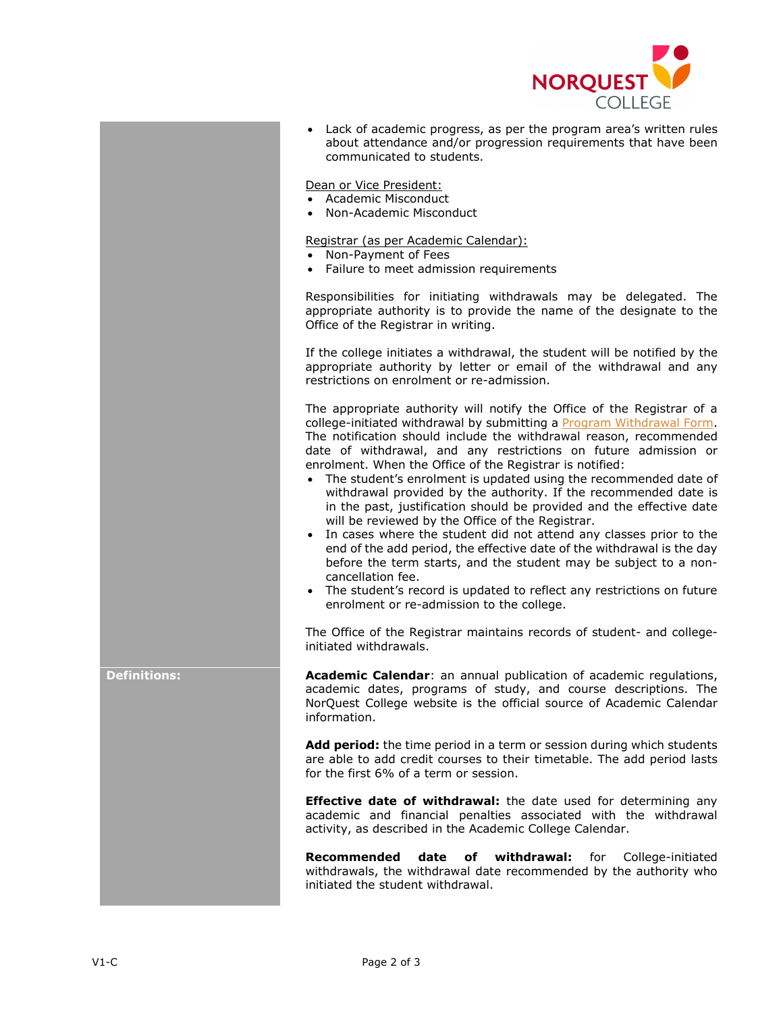

• Lack of academic progress, as per the program area's written rules about attendance and/or progression requirements that have been communicated to students.

Dean or Vice President:

- Academic Misconduct
- Non-Academic Misconduct

Registrar (as per Academic Calendar):

- Non-Payment of Fees
- Failure to meet admission requirements

Responsibilities for initiating withdrawals may be delegated. The appropriate authority is to provide the name of the designate to the Office of the Registrar in writing.

If the college initiates a withdrawal, the student will be notified by the appropriate authority by letter or email of the withdrawal and any restrictions on enrolment or re-admission.

The appropriate authority will notify the Office of the Registrar of a college-initiated withdrawal by submitting a [Program Withdrawal Form.](https://www.norquest.ca/getattachment/e8a0d48a-8fff-4992-8da2-8b8c3b52260f/Program-Withdrawal-Form.aspx) The notification should include the withdrawal reason, recommended date of withdrawal, and any restrictions on future admission or enrolment. When the Office of the Registrar is notified:

- The student's enrolment is updated using the recommended date of withdrawal provided by the authority. If the recommended date is in the past, justification should be provided and the effective date will be reviewed by the Office of the Registrar.
- In cases where the student did not attend any classes prior to the end of the add period, the effective date of the withdrawal is the day before the term starts, and the student may be subject to a noncancellation fee.
- The student's record is updated to reflect any restrictions on future enrolment or re-admission to the college.

The Office of the Registrar maintains records of student- and collegeinitiated withdrawals.

**Definitions: Academic Calendar:** an annual publication of academic regulations, academic dates, programs of study, and course descriptions. The NorQuest College website is the official source of Academic Calendar information.

> **Add period:** the time period in a term or session during which students are able to add credit courses to their timetable. The add period lasts for the first 6% of a term or session.

> **Effective date of withdrawal:** the date used for determining any academic and financial penalties associated with the withdrawal activity, as described in the Academic College Calendar.

> **Recommended date of withdrawal:** for College-initiated withdrawals, the withdrawal date recommended by the authority who initiated the student withdrawal.